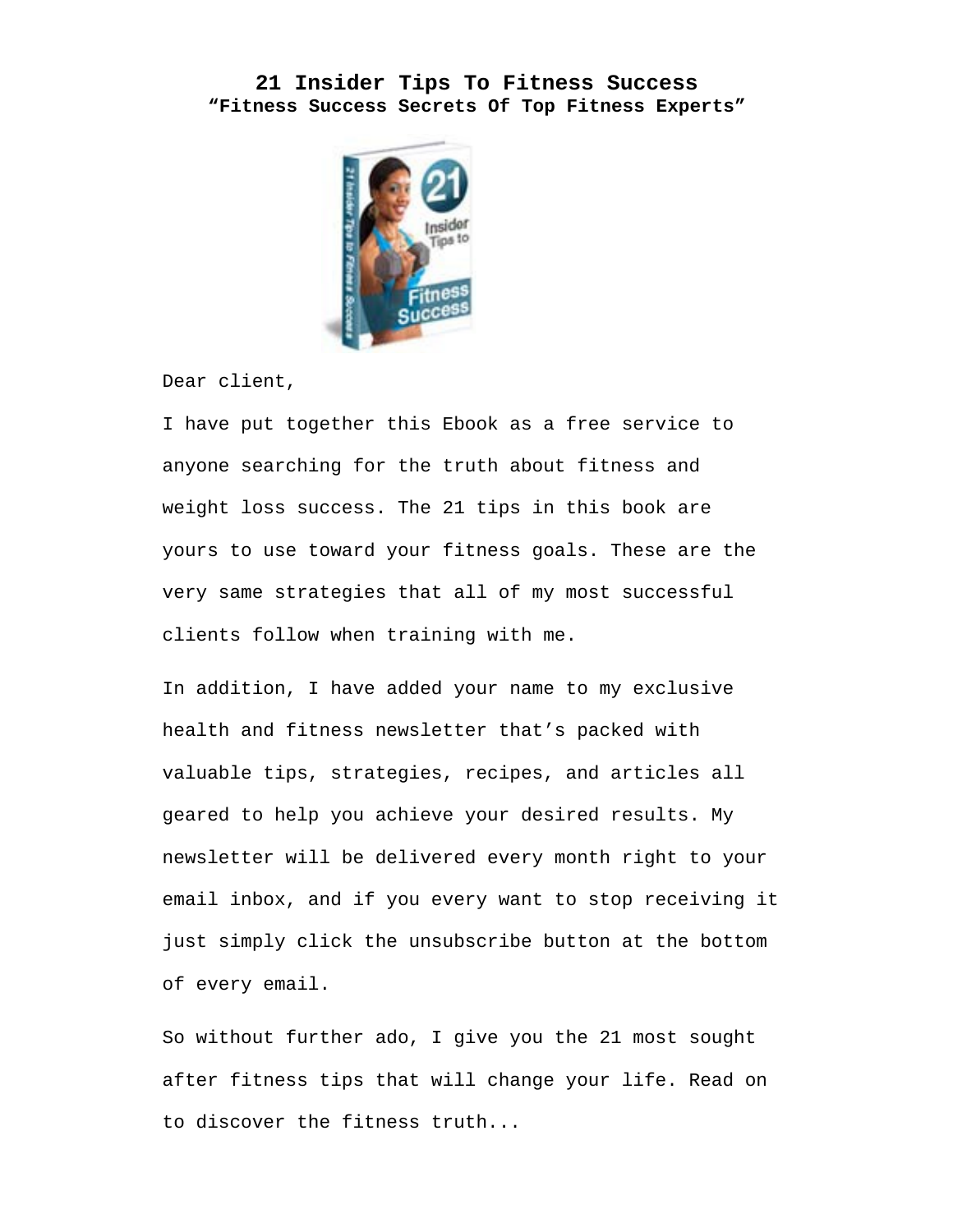## **21 Insider Tips To Fitness Success "Fitness Success Secrets Of Top Fitness Experts"**



Dear client,

I have put together this Ebook as a free service to anyone searching for the truth about fitness and weight loss success. The 21 tips in this book are yours to use toward your fitness goals. These are the very same strategies that all of my most successful clients follow when training with me.

In addition, I have added your name to my exclusive health and fitness newsletter that's packed with valuable tips, strategies, recipes, and articles all geared to help you achieve your desired results. My newsletter will be delivered every month right to your email inbox, and if you every want to stop receiving it just simply click the unsubscribe button at the bottom of every email.

So without further ado, I give you the 21 most sought after fitness tips that will change your life. Read on to discover the fitness truth...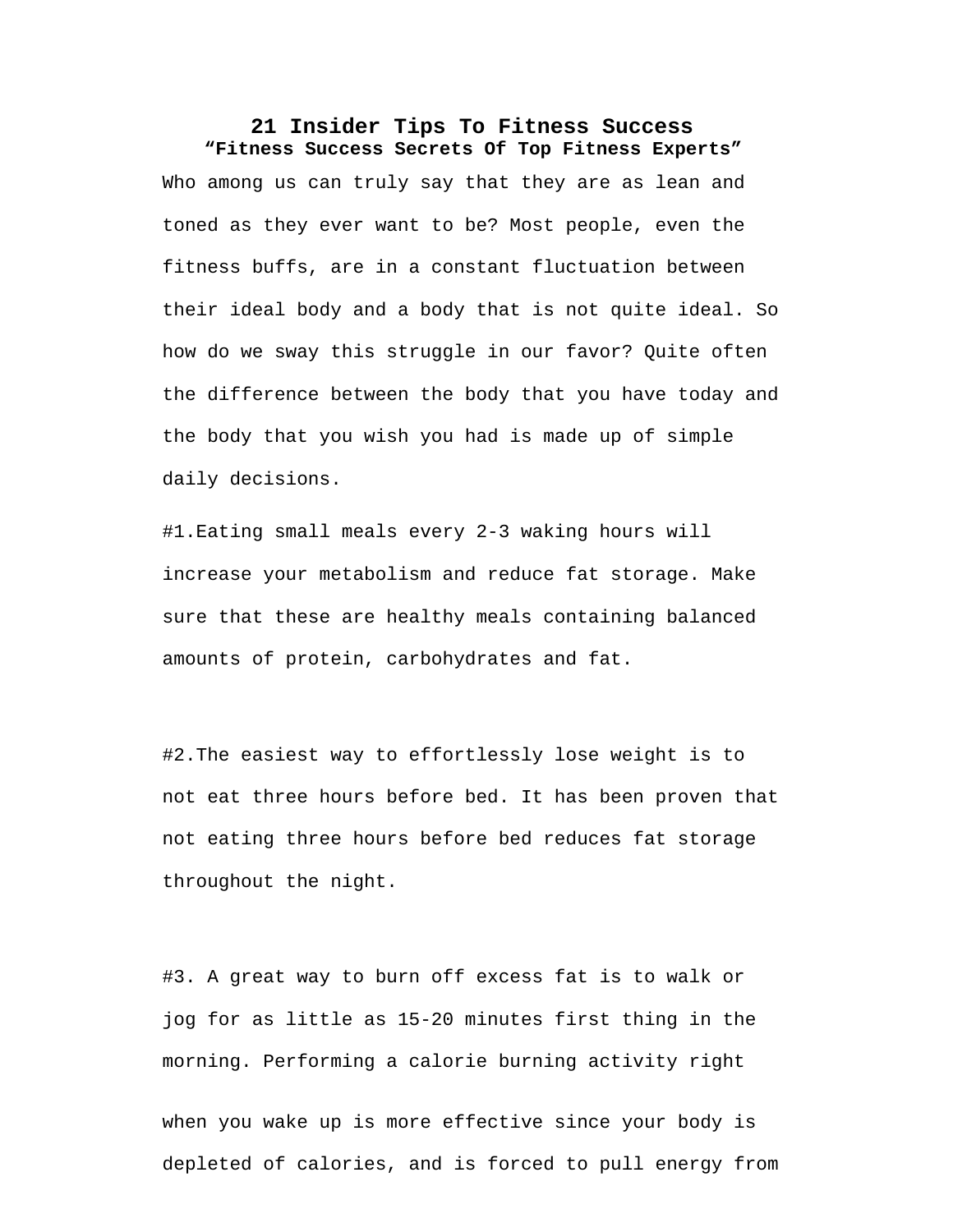## **21 Insider Tips To Fitness Success "Fitness Success Secrets Of Top Fitness Experts"**

Who among us can truly say that they are as lean and toned as they ever want to be? Most people, even the fitness buffs, are in a constant fluctuation between their ideal body and a body that is not quite ideal. So how do we sway this struggle in our favor? Quite often the difference between the body that you have today and the body that you wish you had is made up of simple daily decisions.

#1.Eating small meals every 2-3 waking hours will increase your metabolism and reduce fat storage. Make sure that these are healthy meals containing balanced amounts of protein, carbohydrates and fat.

#2.The easiest way to effortlessly lose weight is to not eat three hours before bed. It has been proven that not eating three hours before bed reduces fat storage throughout the night.

#3. A great way to burn off excess fat is to walk or jog for as little as 15-20 minutes first thing in the morning. Performing a calorie burning activity right

when you wake up is more effective since your body is depleted of calories, and is forced to pull energy from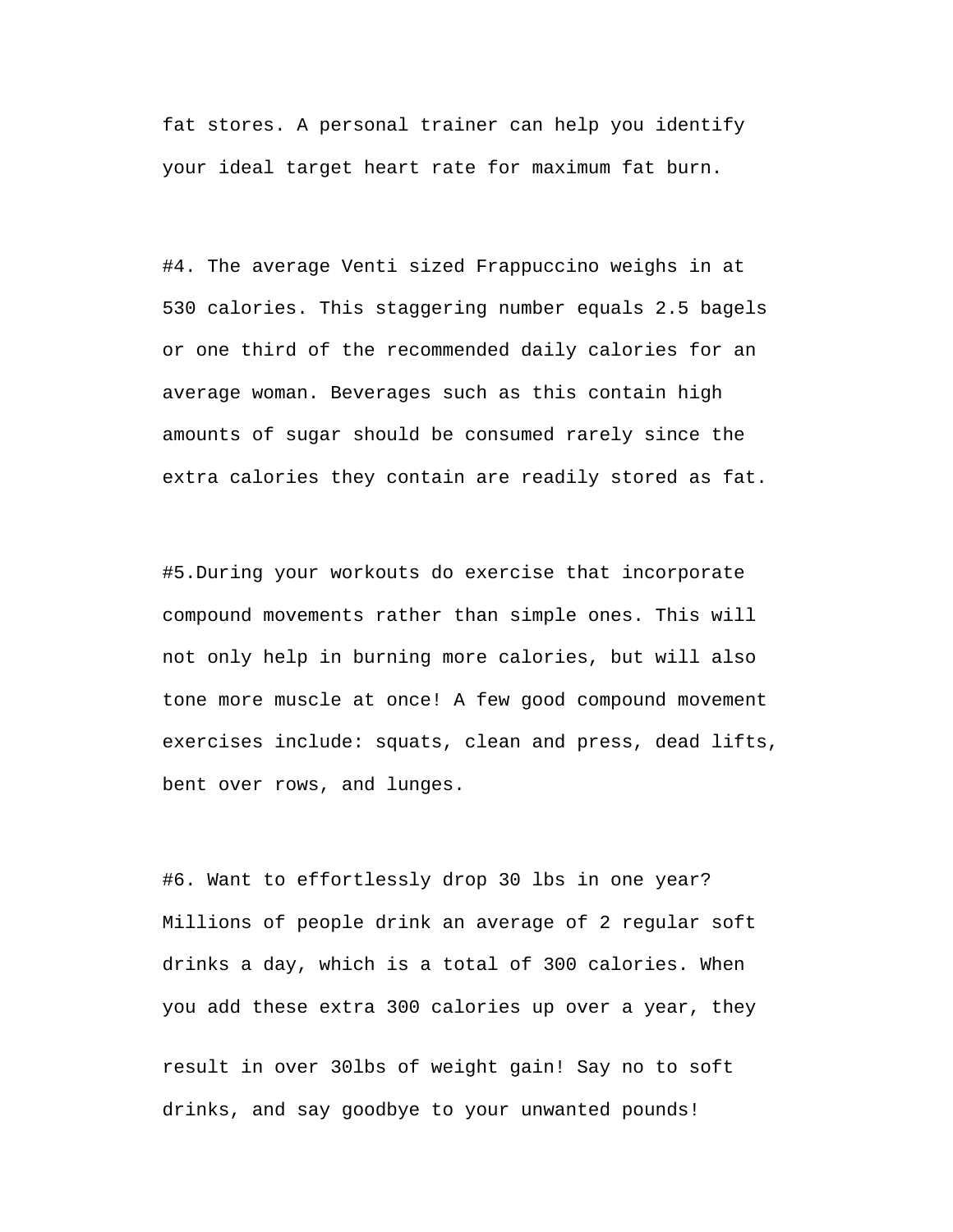fat stores. A personal trainer can help you identify your ideal target heart rate for maximum fat burn.

#4. The average Venti sized Frappuccino weighs in at 530 calories. This staggering number equals 2.5 bagels or one third of the recommended daily calories for an average woman. Beverages such as this contain high amounts of sugar should be consumed rarely since the extra calories they contain are readily stored as fat.

#5.During your workouts do exercise that incorporate compound movements rather than simple ones. This will not only help in burning more calories, but will also tone more muscle at once! A few good compound movement exercises include: squats, clean and press, dead lifts, bent over rows, and lunges.

#6. Want to effortlessly drop 30 lbs in one year? Millions of people drink an average of 2 regular soft drinks a day, which is a total of 300 calories. When you add these extra 300 calories up over a year, they

result in over 30lbs of weight gain! Say no to soft drinks, and say goodbye to your unwanted pounds!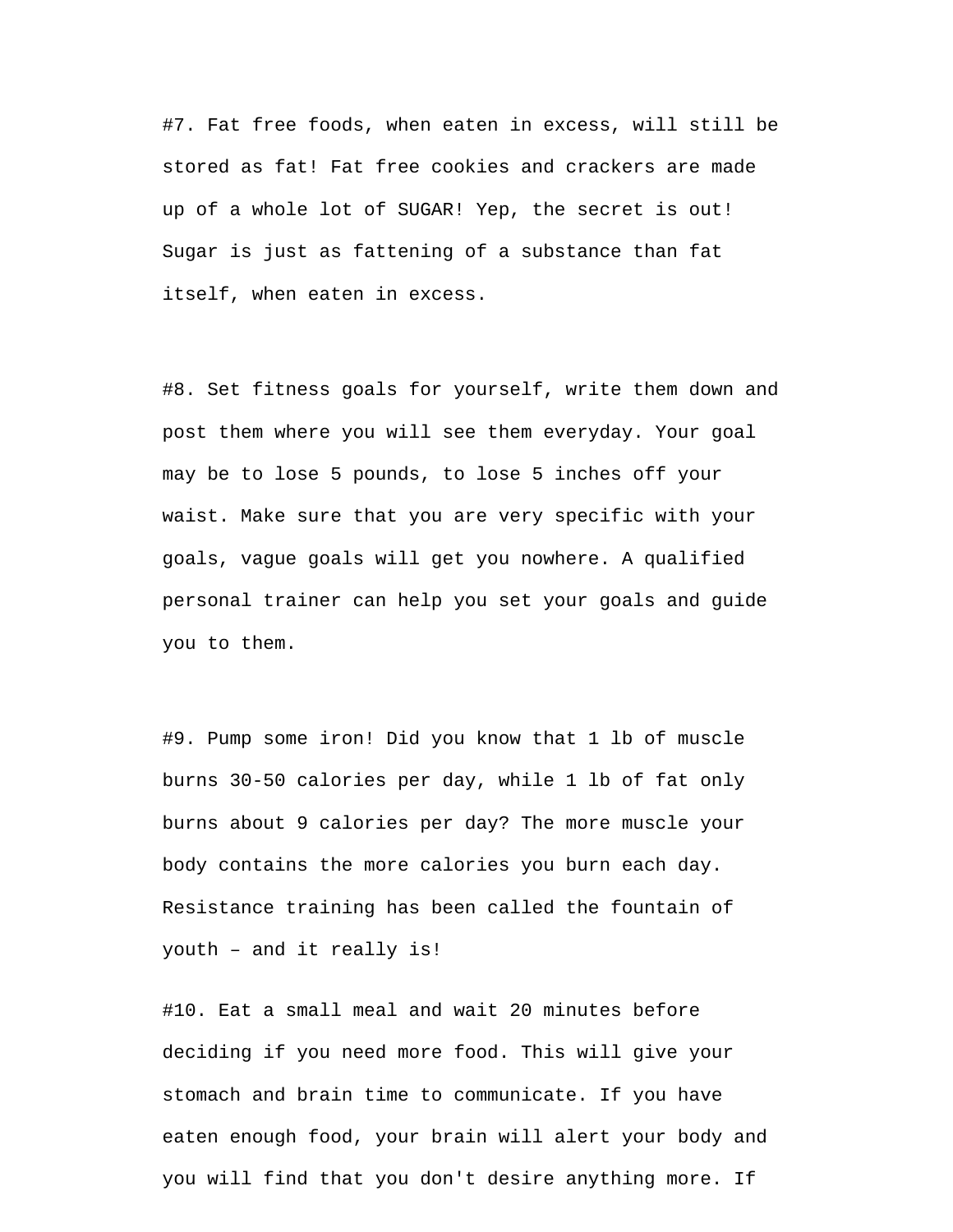#7. Fat free foods, when eaten in excess, will still be stored as fat! Fat free cookies and crackers are made up of a whole lot of SUGAR! Yep, the secret is out! Sugar is just as fattening of a substance than fat itself, when eaten in excess.

#8. Set fitness goals for yourself, write them down and post them where you will see them everyday. Your goal may be to lose 5 pounds, to lose 5 inches off your waist. Make sure that you are very specific with your goals, vague goals will get you nowhere. A qualified personal trainer can help you set your goals and guide you to them.

#9. Pump some iron! Did you know that 1 lb of muscle burns 30-50 calories per day, while 1 lb of fat only burns about 9 calories per day? The more muscle your body contains the more calories you burn each day. Resistance training has been called the fountain of youth – and it really is!

#10. Eat a small meal and wait 20 minutes before deciding if you need more food. This will give your stomach and brain time to communicate. If you have eaten enough food, your brain will alert your body and you will find that you don't desire anything more. If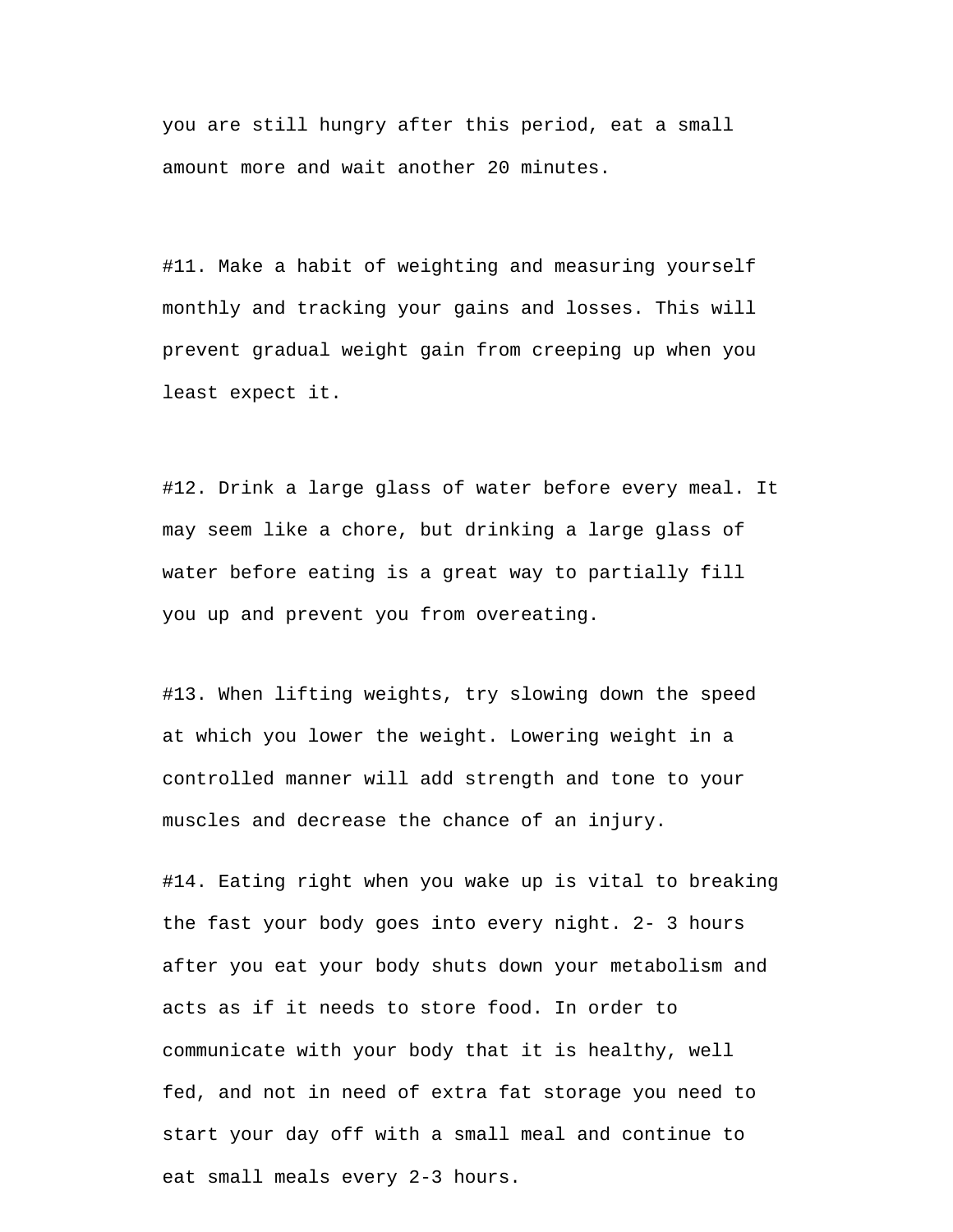you are still hungry after this period, eat a small amount more and wait another 20 minutes.

#11. Make a habit of weighting and measuring yourself monthly and tracking your gains and losses. This will prevent gradual weight gain from creeping up when you least expect it.

#12. Drink a large glass of water before every meal. It may seem like a chore, but drinking a large glass of water before eating is a great way to partially fill you up and prevent you from overeating.

#13. When lifting weights, try slowing down the speed at which you lower the weight. Lowering weight in a controlled manner will add strength and tone to your muscles and decrease the chance of an injury.

#14. Eating right when you wake up is vital to breaking the fast your body goes into every night. 2- 3 hours after you eat your body shuts down your metabolism and acts as if it needs to store food. In order to communicate with your body that it is healthy, well fed, and not in need of extra fat storage you need to start your day off with a small meal and continue to eat small meals every 2-3 hours.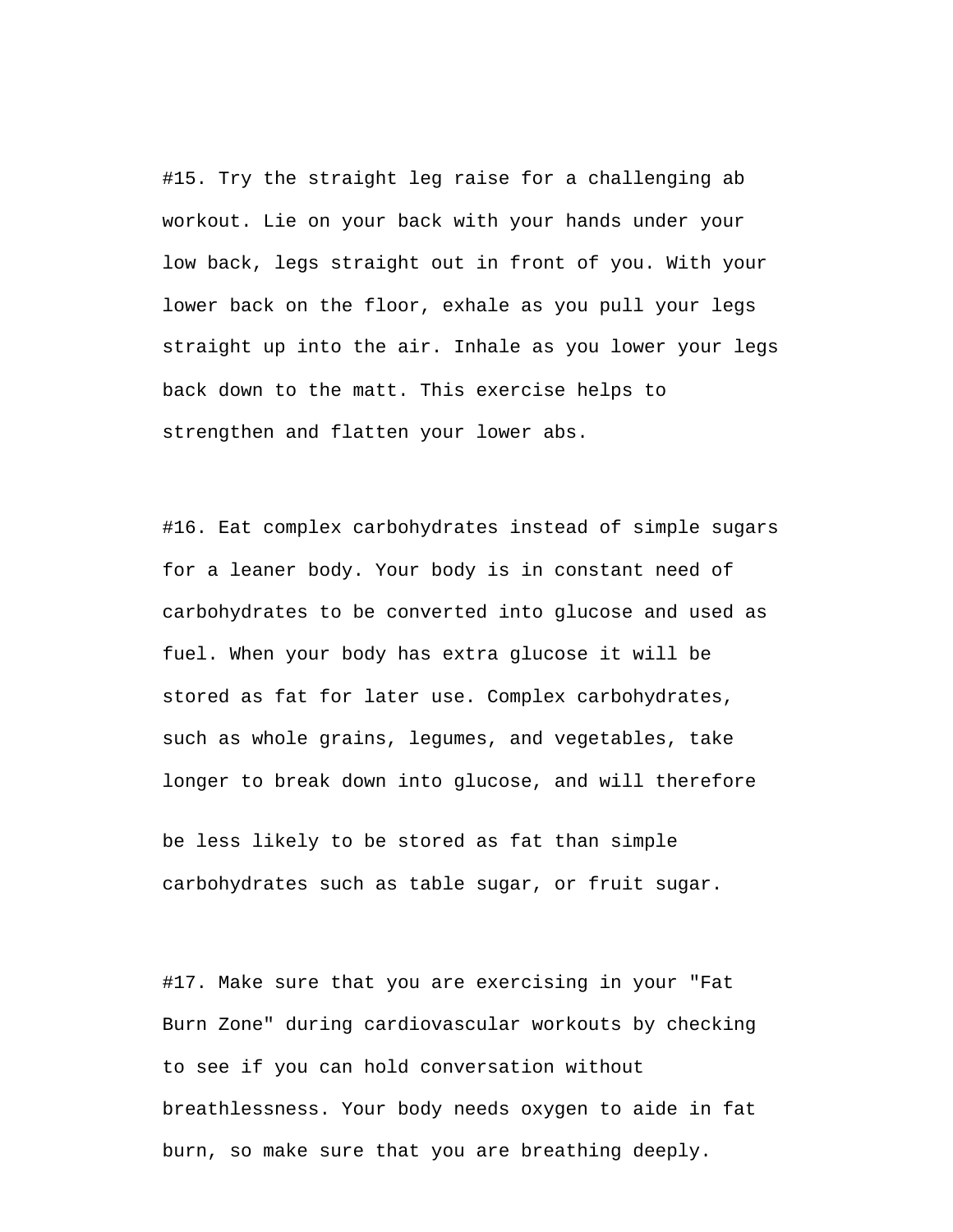#15. Try the straight leg raise for a challenging ab workout. Lie on your back with your hands under your low back, legs straight out in front of you. With your lower back on the floor, exhale as you pull your legs straight up into the air. Inhale as you lower your legs back down to the matt. This exercise helps to strengthen and flatten your lower abs.

#16. Eat complex carbohydrates instead of simple sugars for a leaner body. Your body is in constant need of carbohydrates to be converted into glucose and used as fuel. When your body has extra glucose it will be stored as fat for later use. Complex carbohydrates, such as whole grains, legumes, and vegetables, take longer to break down into glucose, and will therefore

be less likely to be stored as fat than simple carbohydrates such as table sugar, or fruit sugar.

#17. Make sure that you are exercising in your "Fat Burn Zone" during cardiovascular workouts by checking to see if you can hold conversation without breathlessness. Your body needs oxygen to aide in fat burn, so make sure that you are breathing deeply.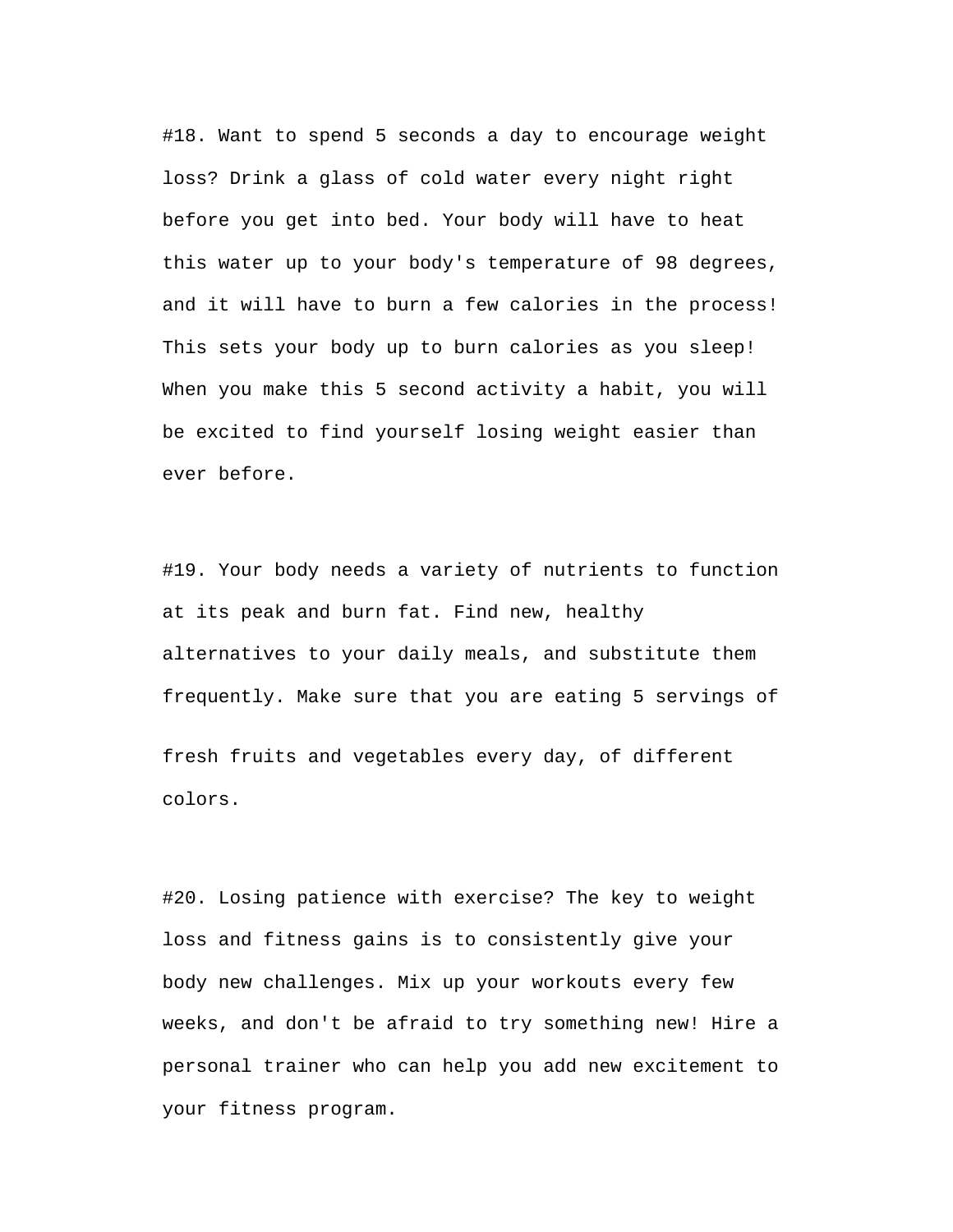#18. Want to spend 5 seconds a day to encourage weight loss? Drink a glass of cold water every night right before you get into bed. Your body will have to heat this water up to your body's temperature of 98 degrees, and it will have to burn a few calories in the process! This sets your body up to burn calories as you sleep! When you make this 5 second activity a habit, you will be excited to find yourself losing weight easier than ever before.

#19. Your body needs a variety of nutrients to function at its peak and burn fat. Find new, healthy alternatives to your daily meals, and substitute them frequently. Make sure that you are eating 5 servings of fresh fruits and vegetables every day, of different colors.

#20. Losing patience with exercise? The key to weight loss and fitness gains is to consistently give your body new challenges. Mix up your workouts every few weeks, and don't be afraid to try something new! Hire a personal trainer who can help you add new excitement to your fitness program.